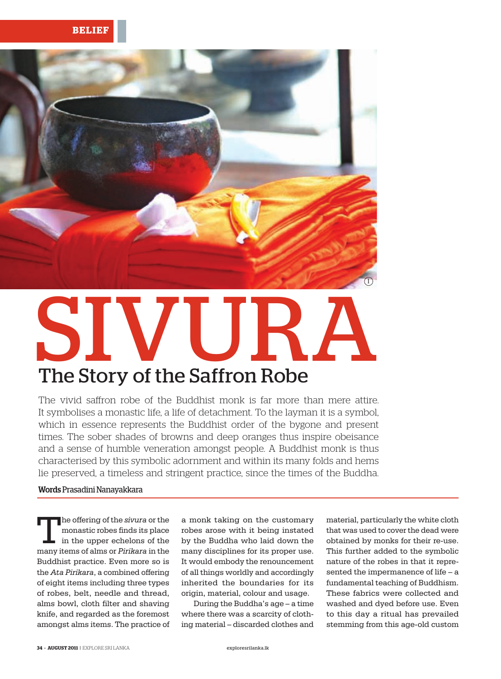

## SIVURA The Story of the Saffron Robe

The vivid saffron robe of the Buddhist monk is far more than mere attire. It symbolises a monastic life, a life of detachment. To the layman it is a symbol, which in essence represents the Buddhist order of the bygone and present times. The sober shades of browns and deep oranges thus inspire obeisance and a sense of humble veneration amongst people. A Buddhist monk is thus characterised by this symbolic adornment and within its many folds and hems lie preserved, a timeless and stringent practice, since the times of the Buddha.

## Words Prasadini Nanayakkara

The offering of the *sivura* or the<br>monastic robes finds its place<br>in the upper echelons of the<br>mony itoms of alms or *Birikara* in the monastic robes finds its place in the upper echelons of the many items of alms or *Pirikara* in the Buddhist practice. Even more so is the *Ata Pirikara*, a combined offering of eight items including three types of robes, belt, needle and thread, alms bowl, cloth filter and shaving knife, and regarded as the foremost amongst alms items. The practice of

a monk taking on the customary robes arose with it being instated by the Buddha who laid down the many disciplines for its proper use. It would embody the renouncement of all things worldly and accordingly inherited the boundaries for its origin, material, colour and usage.

During the Buddha's age – a time where there was a scarcity of clothing material – discarded clothes and

material, particularly the white cloth that was used to cover the dead were obtained by monks for their re-use. This further added to the symbolic nature of the robes in that it represented the impermanence of life – a fundamental teaching of Buddhism. These fabrics were collected and washed and dyed before use. Even to this day a ritual has prevailed stemming from this age-old custom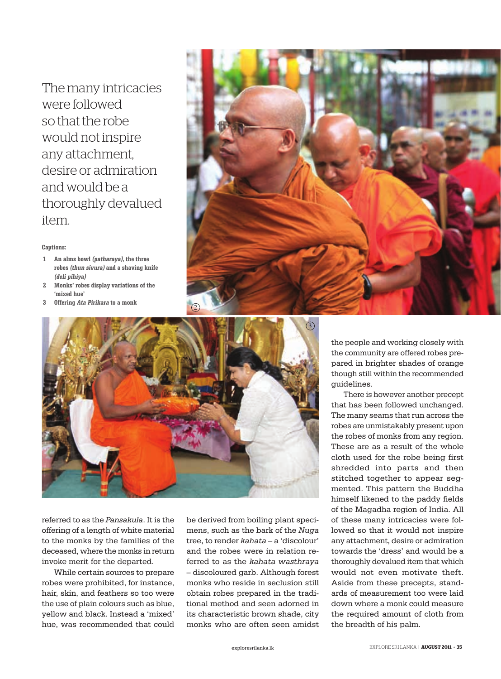The many intricacies were followed so that the robe would not inspire any attachment, desire or admiration and would be a thoroughly devalued item.

## **Captions:**

- **An alms bowl (patharaya), the three 1 robes (thun sivura) and a shaving knife (deli pihiya)**
- **Monks' robes display variations of the 'mixed hue' 2**
- **Offering Ata Pirikara to a monk 3**





referred to as the *Pansakula*. It is the offering of a length of white material to the monks by the families of the deceased, where the monks in return invoke merit for the departed.

While certain sources to prepare robes were prohibited, for instance, hair, skin, and feathers so too were the use of plain colours such as blue, yellow and black. Instead a 'mixed' hue, was recommended that could be derived from boiling plant specimens, such as the bark of the *Nuga* tree, to render *kahata* – a 'discolour' and the robes were in relation referred to as the *kahata wasthraya* – discoloured garb. Although forest monks who reside in seclusion still obtain robes prepared in the traditional method and seen adorned in its characteristic brown shade, city monks who are often seen amidst the people and working closely with the community are offered robes prepared in brighter shades of orange though still within the recommended guidelines.

There is however another precept that has been followed unchanged. The many seams that run across the robes are unmistakably present upon the robes of monks from any region. These are as a result of the whole cloth used for the robe being first shredded into parts and then stitched together to appear segmented. This pattern the Buddha himself likened to the paddy fields of the Magadha region of India. All of these many intricacies were followed so that it would not inspire any attachment, desire or admiration towards the 'dress' and would be a thoroughly devalued item that which would not even motivate theft. Aside from these precepts, standards of measurement too were laid down where a monk could measure the required amount of cloth from the breadth of his palm.